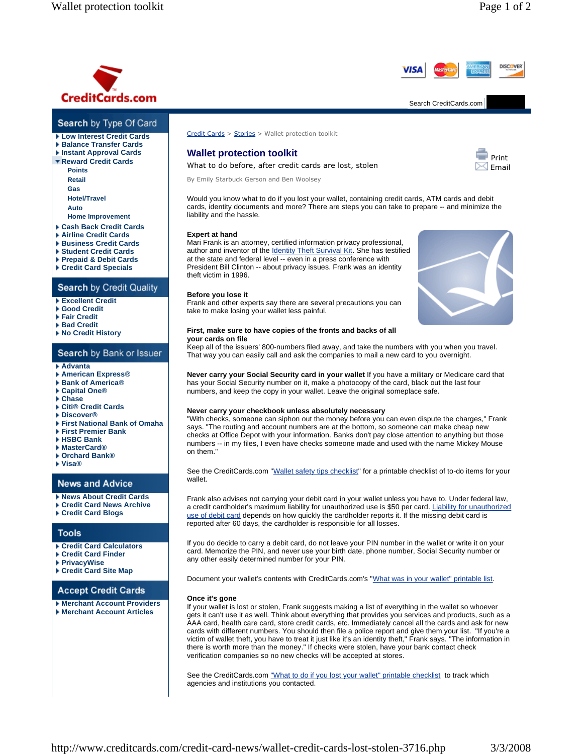**DISCOVER** 

Print  $\overline{\triangle}$  Email



## Search by Type Of Card

- **Low Interest Credit Cards**
- **Balance Transfer Cards**
- **Instant Approval Cards**
- **Reward Credit Cards**
	- **Points Retail Gas**
	- **Hotel/Travel Auto Home Improvement**
- **Cash Back Credit Cards**
- **Airline Credit Cards**
- **Business Credit Cards**
- **Student Credit Cards**
- **Prepaid & Debit Cards**
- **Credit Card Specials**

# Search by Credit Quality

- **Excellent Credit**
- **Good Credit**
- **Fair Credit**
- **Bad Credit**
- **No Credit History**

# Search by Bank or Issuer

### **Advanta**

- **American Express®**
- **Bank of America®**
- **Capital One®**
- **Chase**
- **Citi® Credit Cards Discover®**
- **First National Bank of Omaha**
- **First Premier Bank**
- **HSBC Bank**
- **MasterCard®**
- **Orchard Bank®**
- **Visa®**
- 

## **News and Advice**

## **News About Credit Cards**

- **Credit Card News Archive Credit Card Blogs**
- 

# **Tools**

- **Credit Card Calculators**
- **Credit Card Finder**
- **PrivacyWise**
- **Credit Card Site Map**

# **Accept Credit Cards**

**Merchant Account Providers Merchant Account Articles**

Credit Cards > Stories > Wallet protection toolkit

## **Wallet protection toolkit**

What to do before, after credit cards are lost, stolen

By Emily Starbuck Gerson and Ben Woolsey

Would you know what to do if you lost your wallet, containing credit cards, ATM cards and debit cards, identity documents and more? There are steps you can take to prepare -- and minimize the liability and the hassle.

### **Expert at hand**

Mari Frank is an attorney, certified information privacy professional, author and inventor of the Identity Theft Survival Kit. She has testified at the state and federal level -- even in a press conference with President Bill Clinton -- about privacy issues. Frank was an identity theft victim in 1996.

### **Before you lose it**

Frank and other experts say there are several precautions you can take to make losing your wallet less painful.



#### **First, make sure to have copies of the fronts and backs of all your cards on file**

Keep all of the issuers' 800-numbers filed away, and take the numbers with you when you travel. That way you can easily call and ask the companies to mail a new card to you overnight.

**Never carry your Social Security card in your wallet** If you have a military or Medicare card that has your Social Security number on it, make a photocopy of the card, black out the last four numbers, and keep the copy in your wallet. Leave the original someplace safe.

### **Never carry your checkbook unless absolutely necessary**

"With checks, someone can siphon out the money before you can even dispute the charges," Frank says. "The routing and account numbers are at the bottom, so someone can make cheap new checks at Office Depot with your information. Banks don't pay close attention to anything but those numbers -- in my files, I even have checks someone made and used with the name Mickey Mouse on them."

See the CreditCards.com "Wallet safety tips checklist" for a printable checklist of to-do items for your wallet.

Frank also advises not carrying your debit card in your wallet unless you have to. Under federal law, a credit cardholder's maximum liability for unauthorized use is \$50 per card. Liability for unauthorized use of debit card depends on how quickly the cardholder reports it. If the missing debit card is reported after 60 days, the cardholder is responsible for all losses.

If you do decide to carry a debit card, do not leave your PIN number in the wallet or write it on your card. Memorize the PIN, and never use your birth date, phone number, Social Security number or any other easily determined number for your PIN.

Document your wallet's contents with CreditCards.com's "What was in your wallet" printable list.

#### **Once it's gone**

If your wallet is lost or stolen, Frank suggests making a list of everything in the wallet so whoever gets it can't use it as well. Think about everything that provides you services and products, such as a AAA card, health care card, store credit cards, etc. Immediately cancel all the cards and ask for new cards with different numbers. You should then file a police report and give them your list. "If you're a victim of wallet theft, you have to treat it just like it's an identity theft," Frank says. "The information in there is worth more than the money." If checks were stolen, have your bank contact check verification companies so no new checks will be accepted at stores.

See the CreditCards.com "What to do if you lost your wallet" printable checklist to track which agencies and institutions you contacted.